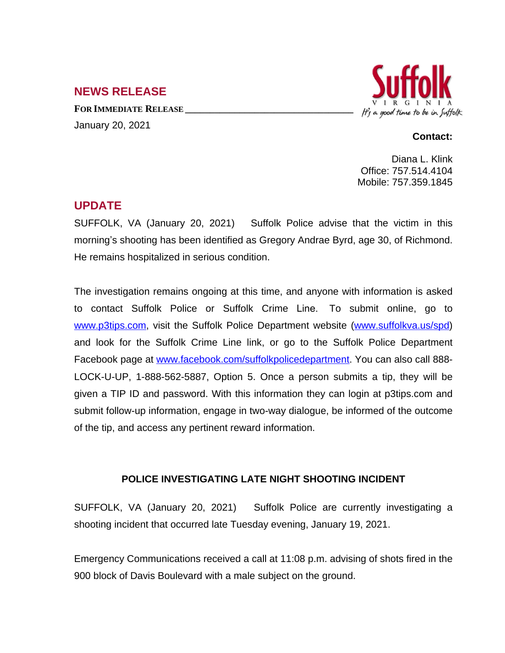## **NEWS RELEASE**

**FOR IMMEDIATE RELEASE \_\_\_\_\_\_\_\_\_\_\_\_\_\_\_\_\_\_\_\_\_\_\_\_\_\_\_\_\_\_\_\_\_\_** January 20, 2021



## **Contact:**

Diana L. Klink Office: 757.514.4104 Mobile: 757.359.1845

## **UPDATE**

SUFFOLK, VA (January 20, 2021) Suffolk Police advise that the victim in this morning's shooting has been identified as Gregory Andrae Byrd, age 30, of Richmond. He remains hospitalized in serious condition.

The investigation remains ongoing at this time, and anyone with information is asked to contact Suffolk Police or Suffolk Crime Line. To submit online, go to [www.p3tips.com](http://www.p3tips.com), visit the Suffolk Police Department website ([www.suffolkva.us/spd](http://www.suffolkva.us/spd)) and look for the Suffolk Crime Line link, or go to the Suffolk Police Department Facebook page at [www.facebook.com/suffolkpolicedepartment.](http://www.facebook.com/suffolkpolicedepartment) You can also call 888- LOCK-U-UP, 1-888-562-5887, Option 5. Once a person submits a tip, they will be given a TIP ID and password. With this information they can login at p3tips.com and submit follow-up information, engage in two-way dialogue, be informed of the outcome of the tip, and access any pertinent reward information.

## **POLICE INVESTIGATING LATE NIGHT SHOOTING INCIDENT**

SUFFOLK, VA (January 20, 2021) Suffolk Police are currently investigating a shooting incident that occurred late Tuesday evening, January 19, 2021.

Emergency Communications received a call at 11:08 p.m. advising of shots fired in the 900 block of Davis Boulevard with a male subject on the ground.